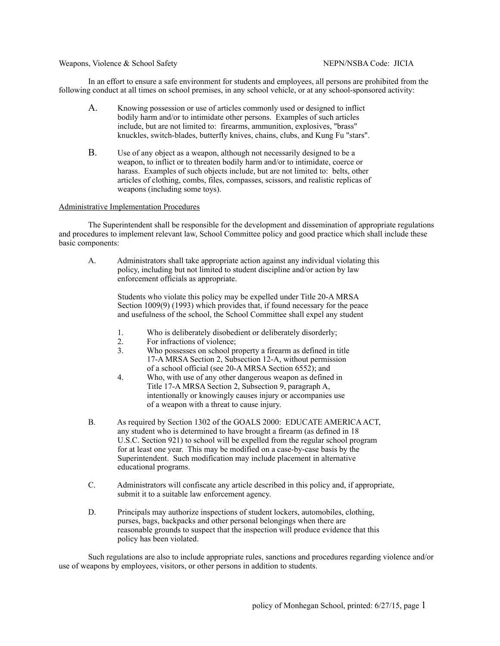Weapons, Violence & School Safety NEPN/NSBA Code: JICIA

In an effort to ensure a safe environment for students and employees, all persons are prohibited from the following conduct at all times on school premises, in any school vehicle, or at any school-sponsored activity:

- A. Knowing possession or use of articles commonly used or designed to inflict bodily harm and/or to intimidate other persons. Examples of such articles include, but are not limited to: firearms, ammunition, explosives, "brass" knuckles, switch-blades, butterfly knives, chains, clubs, and Kung Fu "stars".
- B. Use of any object as a weapon, although not necessarily designed to be a weapon, to inflict or to threaten bodily harm and/or to intimidate, coerce or harass. Examples of such objects include, but are not limited to: belts, other articles of clothing, combs, files, compasses, scissors, and realistic replicas of weapons (including some toys).

## Administrative Implementation Procedures

The Superintendent shall be responsible for the development and dissemination of appropriate regulations and procedures to implement relevant law, School Committee policy and good practice which shall include these basic components:

A. Administrators shall take appropriate action against any individual violating this policy, including but not limited to student discipline and/or action by law enforcement officials as appropriate.

Students who violate this policy may be expelled under Title 20-A MRSA Section 1009(9) (1993) which provides that, if found necessary for the peace and usefulness of the school, the School Committee shall expel any student

- 1. Who is deliberately disobedient or deliberately disorderly;
- 2. For infractions of violence;<br>3. Who possesses on school pro
- Who possesses on school property a firearm as defined in title 17-A MRSA Section 2, Subsection 12-A, without permission of a school official (see 20-A MRSA Section 6552); and
- 4. Who, with use of any other dangerous weapon as defined in Title 17-A MRSA Section 2, Subsection 9, paragraph A, intentionally or knowingly causes injury or accompanies use of a weapon with a threat to cause injury.
- B. As required by Section 1302 of the GOALS 2000: EDUCATE AMERICA ACT, any student who is determined to have brought a firearm (as defined in 18 U.S.C. Section 921) to school will be expelled from the regular school program for at least one year. This may be modified on a case-by-case basis by the Superintendent. Such modification may include placement in alternative educational programs.
- C. Administrators will confiscate any article described in this policy and, if appropriate, submit it to a suitable law enforcement agency.
- D. Principals may authorize inspections of student lockers, automobiles, clothing, purses, bags, backpacks and other personal belongings when there are reasonable grounds to suspect that the inspection will produce evidence that this policy has been violated.

Such regulations are also to include appropriate rules, sanctions and procedures regarding violence and/or use of weapons by employees, visitors, or other persons in addition to students.